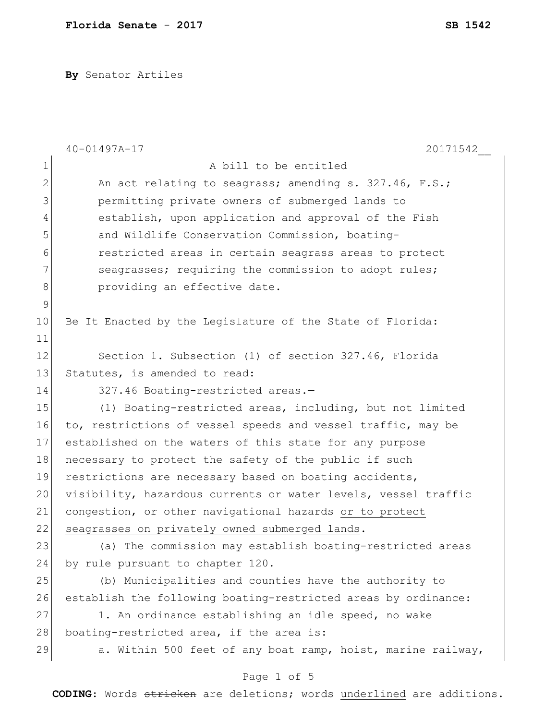**By** Senator Artiles

|              | $40 - 01497A - 17$<br>20171542                                 |
|--------------|----------------------------------------------------------------|
| $\mathbf 1$  | A bill to be entitled                                          |
| $\mathbf{2}$ | An act relating to seagrass; amending s. 327.46, F.S.;         |
| 3            | permitting private owners of submerged lands to                |
| 4            | establish, upon application and approval of the Fish           |
| 5            | and Wildlife Conservation Commission, boating-                 |
| 6            | restricted areas in certain seagrass areas to protect          |
| 7            | seagrasses; requiring the commission to adopt rules;           |
| 8            | providing an effective date.                                   |
| $\mathsf 9$  |                                                                |
| 10           | Be It Enacted by the Legislature of the State of Florida:      |
| 11           |                                                                |
| 12           | Section 1. Subsection (1) of section 327.46, Florida           |
| 13           | Statutes, is amended to read:                                  |
| 14           | 327.46 Boating-restricted areas.-                              |
| 15           | (1) Boating-restricted areas, including, but not limited       |
| 16           | to, restrictions of vessel speeds and vessel traffic, may be   |
| 17           | established on the waters of this state for any purpose        |
| 18           | necessary to protect the safety of the public if such          |
| 19           | restrictions are necessary based on boating accidents,         |
| 20           | visibility, hazardous currents or water levels, vessel traffic |
| 21           | congestion, or other navigational hazards or to protect        |
| 22           | seagrasses on privately owned submerged lands.                 |
| 23           | (a) The commission may establish boating-restricted areas      |
| 24           | by rule pursuant to chapter 120.                               |
| 25           | (b) Municipalities and counties have the authority to          |
| 26           | establish the following boating-restricted areas by ordinance: |
| 27           | 1. An ordinance establishing an idle speed, no wake            |
| 28           | boating-restricted area, if the area is:                       |
| 29           | a. Within 500 feet of any boat ramp, hoist, marine railway,    |
|              | Page 1 of 5                                                    |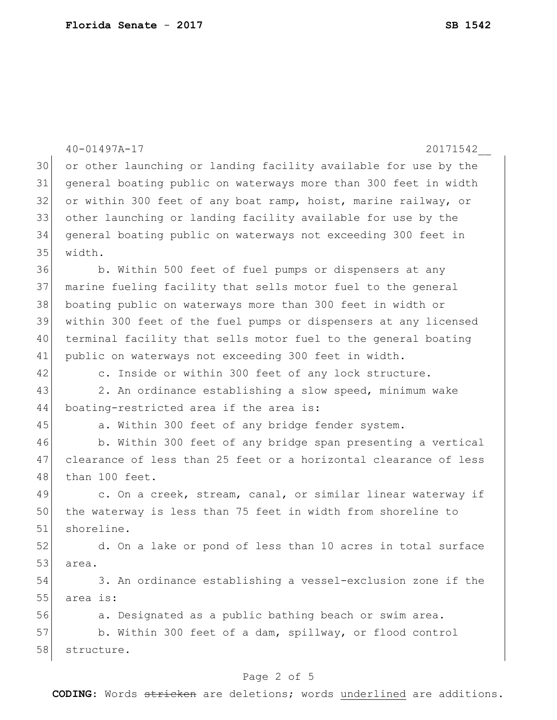|    | $40 - 01497A - 17$<br>20171542                                   |
|----|------------------------------------------------------------------|
| 30 | or other launching or landing facility available for use by the  |
| 31 | general boating public on waterways more than 300 feet in width  |
| 32 | or within 300 feet of any boat ramp, hoist, marine railway, or   |
| 33 | other launching or landing facility available for use by the     |
| 34 | general boating public on waterways not exceeding 300 feet in    |
| 35 | width.                                                           |
| 36 | b. Within 500 feet of fuel pumps or dispensers at any            |
| 37 | marine fueling facility that sells motor fuel to the general     |
| 38 | boating public on waterways more than 300 feet in width or       |
| 39 | within 300 feet of the fuel pumps or dispensers at any licensed  |
| 40 | terminal facility that sells motor fuel to the general boating   |
| 41 | public on waterways not exceeding 300 feet in width.             |
| 42 | c. Inside or within 300 feet of any lock structure.              |
| 43 | 2. An ordinance establishing a slow speed, minimum wake          |
| 44 | boating-restricted area if the area is:                          |
| 45 | a. Within 300 feet of any bridge fender system.                  |
| 46 | b. Within 300 feet of any bridge span presenting a vertical      |
| 47 | clearance of less than 25 feet or a horizontal clearance of less |
| 48 | than 100 feet.                                                   |
| 49 | c. On a creek, stream, canal, or similar linear waterway if      |
| 50 | the waterway is less than 75 feet in width from shoreline to     |
| 51 | shoreline.                                                       |
| 52 | d. On a lake or pond of less than 10 acres in total surface      |
| 53 | area.                                                            |
| 54 | 3. An ordinance establishing a vessel-exclusion zone if the      |
| 55 | area is:                                                         |
| 56 | a. Designated as a public bathing beach or swim area.            |
| 57 | b. Within 300 feet of a dam, spillway, or flood control          |
| 58 | structure.                                                       |
|    |                                                                  |

## Page 2 of 5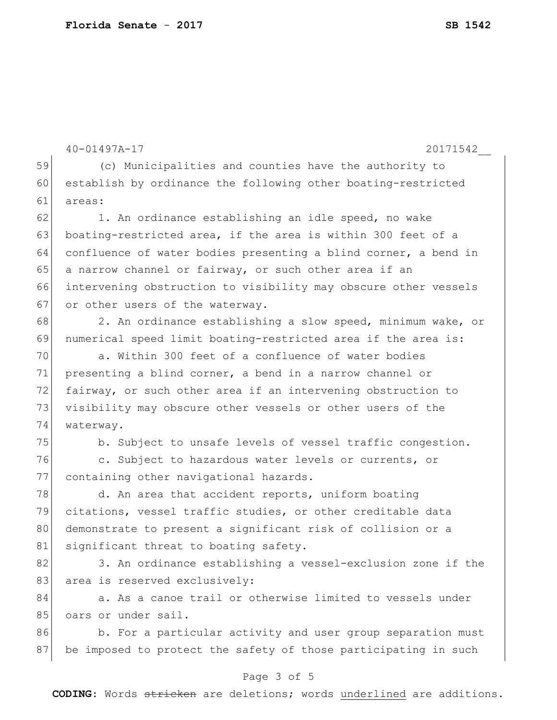40-01497A-17 20171542\_\_ 59 (c) Municipalities and counties have the authority to 60 establish by ordinance the following other boating-restricted 61 areas: 62 1. An ordinance establishing an idle speed, no wake 63 boating-restricted area, if the area is within 300 feet of a 64 confluence of water bodies presenting a blind corner, a bend in 65 a narrow channel or fairway, or such other area if an 66 intervening obstruction to visibility may obscure other vessels 67 or other users of the waterway. 68 2. An ordinance establishing a slow speed, minimum wake, or 69 numerical speed limit boating-restricted area if the area is: 70 a. Within 300 feet of a confluence of water bodies 71 presenting a blind corner, a bend in a narrow channel or 72 fairway, or such other area if an intervening obstruction to 73 visibility may obscure other vessels or other users of the 74 waterway. 75 b. Subject to unsafe levels of vessel traffic congestion. 76 c. Subject to hazardous water levels or currents, or 77 containing other navigational hazards. 78 d. An area that accident reports, uniform boating 79 citations, vessel traffic studies, or other creditable data 80 demonstrate to present a significant risk of collision or a 81 significant threat to boating safety. 82 3. An ordinance establishing a vessel-exclusion zone if the 83 area is reserved exclusively: 84 a. As a canoe trail or otherwise limited to vessels under 85 oars or under sail. 86 b. For a particular activity and user group separation must 87 be imposed to protect the safety of those participating in such

## Page 3 of 5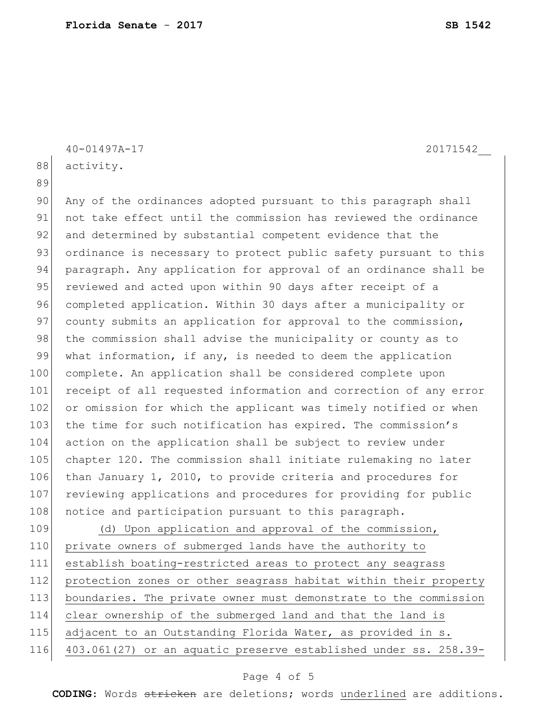|     | 20171542<br>40-01497A-17                                         |
|-----|------------------------------------------------------------------|
| 88  | activity.                                                        |
| 89  |                                                                  |
| 90  | Any of the ordinances adopted pursuant to this paragraph shall   |
| 91  | not take effect until the commission has reviewed the ordinance  |
| 92  | and determined by substantial competent evidence that the        |
| 93  | ordinance is necessary to protect public safety pursuant to this |
| 94  | paragraph. Any application for approval of an ordinance shall be |
| 95  | reviewed and acted upon within 90 days after receipt of a        |
| 96  | completed application. Within 30 days after a municipality or    |
| 97  | county submits an application for approval to the commission,    |
| 98  | the commission shall advise the municipality or county as to     |
| 99  | what information, if any, is needed to deem the application      |
| 100 | complete. An application shall be considered complete upon       |
| 101 | receipt of all requested information and correction of any error |
| 102 | or omission for which the applicant was timely notified or when  |
| 103 | the time for such notification has expired. The commission's     |
| 104 | action on the application shall be subject to review under       |
| 105 | chapter 120. The commission shall initiate rulemaking no later   |
| 106 | than January 1, 2010, to provide criteria and procedures for     |
| 107 | reviewing applications and procedures for providing for public   |
| 108 | notice and participation pursuant to this paragraph.             |
| 109 | (d) Upon application and approval of the commission,             |
| 110 | private owners of submerged lands have the authority to          |
| 111 | establish boating-restricted areas to protect any seagrass       |
| 112 | protection zones or other seagrass habitat within their property |
| 113 | boundaries. The private owner must demonstrate to the commission |

115 adjacent to an Outstanding Florida Water, as provided in s.

114 clear ownership of the submerged land and that the land is

116 403.061(27) or an aquatic preserve established under ss. 258.39-

## Page 4 of 5